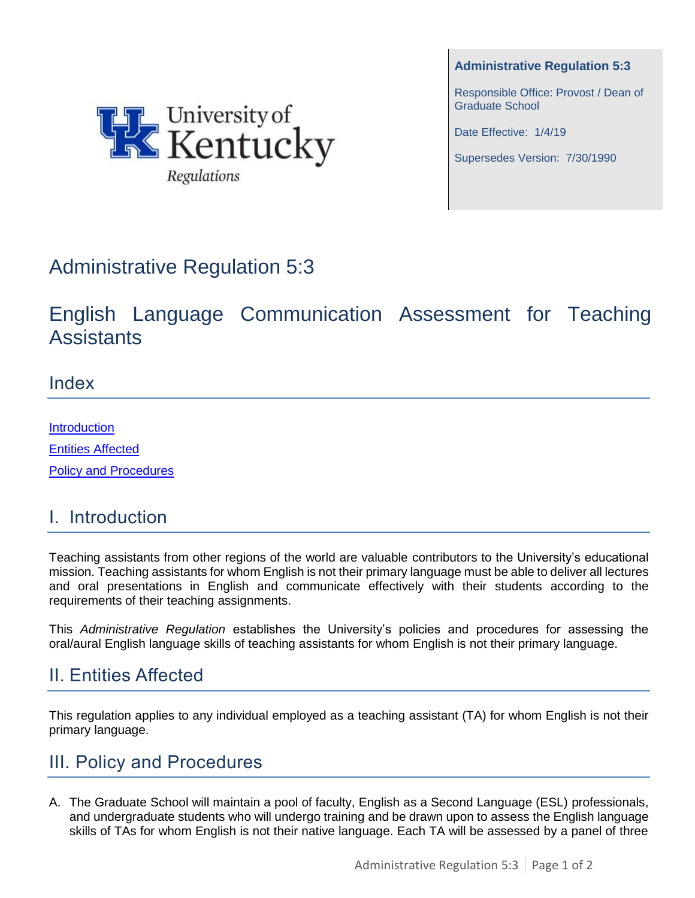**Administrative Regulation 5:3**

Responsible Office: Provost / Dean of Graduate School

Date Effective: 1/4/19

Supersedes Version: 7/30/1990



# Administrative Regulation 5:3

# English Language Communication Assessment for Teaching **Assistants**

#### Index

**[Introduction](#page-0-0)** [Entities Affected](#page-0-1) [Policy and Procedures](#page-0-2)

## <span id="page-0-0"></span>I. Introduction

Teaching assistants from other regions of the world are valuable contributors to the University's educational mission. Teaching assistants for whom English is not their primary language must be able to deliver all lectures and oral presentations in English and communicate effectively with their students according to the requirements of their teaching assignments.

This *Administrative Regulation* establishes the University's policies and procedures for assessing the oral/aural English language skills of teaching assistants for whom English is not their primary language.

#### <span id="page-0-1"></span>II. Entities Affected

This regulation applies to any individual employed as a teaching assistant (TA) for whom English is not their primary language.

# <span id="page-0-2"></span>III. Policy and Procedures

A. The Graduate School will maintain a pool of faculty, English as a Second Language (ESL) professionals, and undergraduate students who will undergo training and be drawn upon to assess the English language skills of TAs for whom English is not their native language. Each TA will be assessed by a panel of three